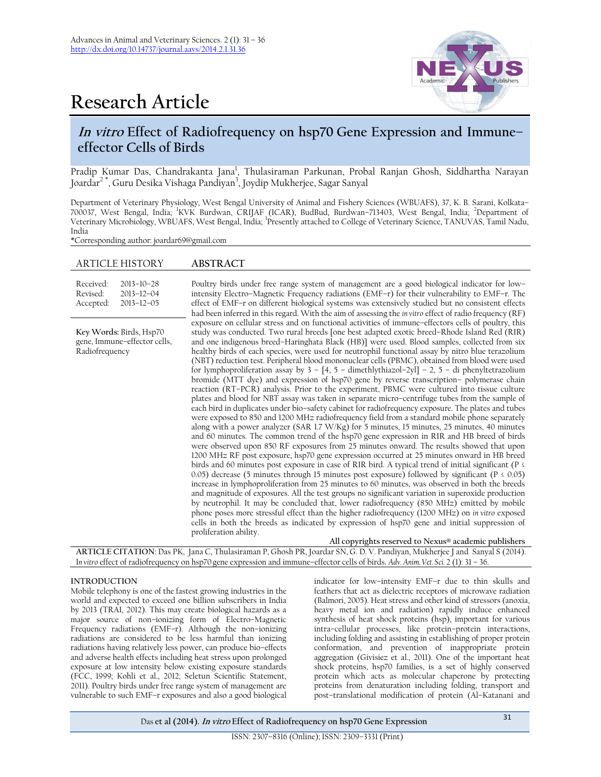



# **In vitro Effect of Radiofrequency on hsp70 Gene Expression and Immune– effector Cells of Birds**

Pradip Kumar Das, Chandrakanta Jana<sup>1</sup>, Thulasiraman Parkunan, Probal Ranjan Ghosh, Siddhartha Narayan Joardar<sup>2\*</sup>, Guru Desika Vishaga Pandiyan<sup>3</sup>, Joydip Mukherjee, Sagar Sanyal

Department of Veterinary Physiology, West Bengal University of Animal and Fishery Sciences (WBUAFS), 37, K. B. Sarani, Kolkata– 700037, West Bengal, India; <sup>1</sup>KVK Burdwan, CRIJAF (ICAR), BudBud, Burdwan–713403, West Bengal, India; <sup>2</sup>Department of Veterinary Microbiology, WBUAFS, West Bengal, India; 3 Presently attached to College of Veterinary Science, TANUVAS, Tamil Nadu, India

\*Corresponding author: joardar69@gmail.com

| <b>ARTICLE HISTORY</b>                                                                         | <b>ABSTRACT</b>                                                                                                                                                                                                                                                                                                                                                                                                                                                                                                                                                                                                                                                                                                                                                                                                                                                                                                                                                                                                                                                                                                                                                                                                                                                                                                                                                                                                                                                                                                                                                                                                                                                                                                                                                                                                                                                                                                                                                                                                                                                                                                                                                                                                                                                                                                            |
|------------------------------------------------------------------------------------------------|----------------------------------------------------------------------------------------------------------------------------------------------------------------------------------------------------------------------------------------------------------------------------------------------------------------------------------------------------------------------------------------------------------------------------------------------------------------------------------------------------------------------------------------------------------------------------------------------------------------------------------------------------------------------------------------------------------------------------------------------------------------------------------------------------------------------------------------------------------------------------------------------------------------------------------------------------------------------------------------------------------------------------------------------------------------------------------------------------------------------------------------------------------------------------------------------------------------------------------------------------------------------------------------------------------------------------------------------------------------------------------------------------------------------------------------------------------------------------------------------------------------------------------------------------------------------------------------------------------------------------------------------------------------------------------------------------------------------------------------------------------------------------------------------------------------------------------------------------------------------------------------------------------------------------------------------------------------------------------------------------------------------------------------------------------------------------------------------------------------------------------------------------------------------------------------------------------------------------------------------------------------------------------------------------------------------------|
| Received:<br>$2013 - 10 - 28$<br>Revised:<br>$2013 - 12 - 04$<br>$2013 - 12 - 05$<br>Accepted: | Poultry birds under free range system of management are a good biological indicator for low-<br>intensity Electro-Magnetic Frequency radiations (EMF-r) for their vulnerability to EMF-r. The<br>effect of EMF-r on different biological systems was extensively studied but no consistent effects<br>had been inferred in this regard. With the aim of assessing the <i>in vitro</i> effect of radio frequency (RF)                                                                                                                                                                                                                                                                                                                                                                                                                                                                                                                                                                                                                                                                                                                                                                                                                                                                                                                                                                                                                                                                                                                                                                                                                                                                                                                                                                                                                                                                                                                                                                                                                                                                                                                                                                                                                                                                                                       |
| Key Words: Birds, Hsp70<br>gene, Immune-effector cells,<br>Radiofrequency                      | exposure on cellular stress and on functional activities of immune-effectors cells of poultry, this<br>study was conducted. Two rural breeds [one best adapted exotic breed-Rhode Island Red (RIR)<br>and one indigenous breed-Haringhata Black (HB)] were used. Blood samples, collected from six<br>healthy birds of each species, were used for neutrophil functional assay by nitro blue terazolium<br>(NBT) reduction test. Peripheral blood mononuclear cells (PBMC), obtained from blood were used<br>for lymphoproliferation assay by $3 - [4, 5 -$ dimethlythiazol-2yl] - 2, 5 - di phenyltetrazolium<br>bromide (MTT dye) and expression of hsp70 gene by reverse transcription- polymerase chain<br>reaction (RT-PCR) analysis. Prior to the experiment, PBMC were cultured into tissue culture<br>plates and blood for NBT assay was taken in separate micro-centrifuge tubes from the sample of<br>each bird in duplicates under bio-safety cabinet for radiofrequency exposure. The plates and tubes<br>were exposed to 850 and 1200 MHz radiofrequency field from a standard mobile phone separately<br>along with a power analyzer (SAR 1.7 W/Kg) for 5 minutes, 15 minutes, 25 minutes, 40 minutes<br>and 60 minutes. The common trend of the hsp70 gene expression in RIR and HB breed of birds<br>were observed upon 850 RF exposures from 25 minutes onward. The results showed that upon<br>1200 MHz RF post exposure, hsp70 gene expression occurred at 25 minutes onward in HB breed<br>birds and 60 minutes post exposure in case of RIR bird. A typical trend of initial significant ( $P \leq$<br>0.05) decrease (5 minutes through 15 minutes post exposure) followed by significant ( $P \le 0.05$ )<br>increase in lymphoproliferation from 25 minutes to 60 minutes, was observed in both the breeds<br>and magnitude of exposures. All the test groups no significant variation in superoxide production<br>by neutrophil. It may be concluded that, lower radiofrequency (850 MHz) emitted by mobile<br>phone poses more stressful effect than the higher radiofrequency (1200 MHz) on in vitro exposed<br>cells in both the breeds as indicated by expression of hsp70 gene and initial suppression of<br>proliferation ability.<br>All copyrights reserved to Nexus® academic publishers |

**ARTICLE CITATION**: Das PK, Jana C, Thulasiraman P, Ghosh PR, Joardar SN, G. D. V. Pandiyan, Mukherjee J and Sanyal S (2014). I*n vitro* effect of radiofrequency on hsp70 gene expression and immune–effector cells of birds**.** *Adv. Anim. Vet. Sci.* 2 (1): 31 – 36.

## **INTRODUCTION**

Mobile telephony is one of the fastest growing industries in the world and expected to exceed one billion subscribers in India by 2013 (TRAI, 2012). This may create biological hazards as a major source of non–ionizing form of Electro–Magnetic Frequency radiations (EMF–r). Although the non–ionizing radiations are considered to be less harmful than ionizing radiations having relatively less power, can produce bio–effects and adverse health effects including heat stress upon prolonged exposure at low intensity below existing exposure standards (FCC, 1999; Kohli et al., 2012; Seletun Scientific Statement, 2011). Poultry birds under free range system of management are vulnerable to such EMF–r exposures and also a good biological

indicator for low–intensity EMF–r due to thin skulls and feathers that act as dielectric receptors of microwave radiation (Balmori, 2005). Heat stress and other kind of stressors (anoxia, heavy metal ion and radiation) rapidly induce enhanced synthesis of heat shock proteins (hsp), important for various intra–cellular processes, like protein–protein interactions, including folding and assisting in establishing of proper protein conformation, and prevention of inappropriate protein aggregation (Givisiez et al., 2011). One of the important heat shock proteins, hsp70 families, is a set of highly conserved protein which acts as molecular chaperone by protecting proteins from denaturation including folding, transport and post–translational modification of protein (Al–Katanani and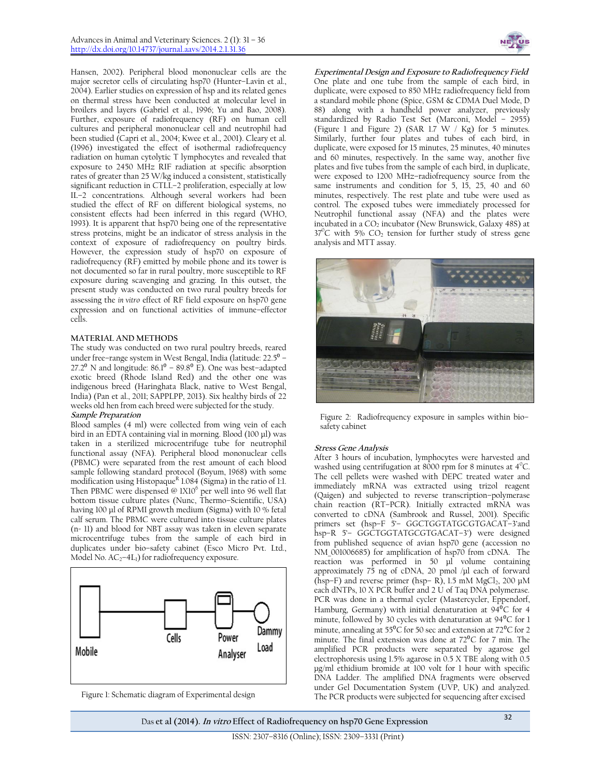Hansen, 2002). Peripheral blood mononuclear cells are the major secretor cells of circulating hsp70 (Hunter–Lavin et al., 2004). Earlier studies on expression of hsp and its related genes on thermal stress have been conducted at molecular level in broilers and layers (Gabriel et al., 1996; Yu and Bao, 2008). Further, exposure of radiofrequency (RF) on human cell cultures and peripheral mononuclear cell and neutrophil had been studied (Capri et al., 2004; Kwee et al., 2001). Cleary et al. (1996) investigated the effect of isothermal radiofrequency radiation on human cytolytic T lymphocytes and revealed that exposure to 2450 MHz RIF radiation at specific absorption rates of greater than 25 W/kg induced a consistent, statistically significant reduction in CTLL–2 proliferation, especially at low IL–2 concentrations. Although several workers had been studied the effect of RF on different biological systems, no consistent effects had been inferred in this regard (WHO, 1993). It is apparent that hsp70 being one of the representative stress proteins, might be an indicator of stress analysis in the context of exposure of radiofrequency on poultry birds. However, the expression study of hsp70 on exposure of radiofrequency (RF) emitted by mobile phone and its tower is not documented so far in rural poultry, more susceptible to RF exposure during scavenging and grazing. In this outset, the present study was conducted on two rural poultry breeds for assessing the *in vitro* effect of RF field exposure on hsp70 gene expression and on functional activities of immune–effector cells.

# **MATERIAL AND METHODS**

The study was conducted on two rural poultry breeds, reared under free–range system in West Bengal, India (latitude:  $22.5^{\circ}$  – 27.2 $^{\circ}$  N and longitude: 86.1 $^{\circ}$  – 89.8 $^{\circ}$  E). One was best-adapted exotic breed (Rhode Island Red) and the other one was indigenous breed (Haringhata Black, native to West Bengal, India) (Pan et al., 2011; SAPPLPP, 2013). Six healthy birds of 22 weeks old hen from each breed were subjected for the study. **Sample Preparation** 

Blood samples (4 ml) were collected from wing vein of each bird in an EDTA containing vial in morning. Blood (100 µl) was taken in a sterilized microcentrifuge tube for neutrophil functional assay (NFA). Peripheral blood mononuclear cells (PBMC) were separated from the rest amount of each blood sample following standard protocol (Boyum, 1968) with some modification using Histopaque<sup>R</sup> 1.084 (Sigma) in the ratio of 1:1. Then PBMC were dispensed @ 1X10<sup>6</sup> per well into 96 well flat bottom tissue culture plates (Nunc, Thermo–Scientific, USA) having 100 μl of RPMI growth medium (Sigma) with 10 % fetal calf serum. The PBMC were cultured into tissue culture plates (n= 11) and blood for NBT assay was taken in eleven separate microcentrifuge tubes from the sample of each bird in duplicates under bio–safety cabinet (Esco Micro Pvt. Ltd., Model No.  $AC_2$ –4L<sub>1</sub>) for radiofrequency exposure.





**Experimental Design and Exposure to Radiofrequency Field** One plate and one tube from the sample of each bird, in duplicate, were exposed to 850 MHz radiofrequency field from a standard mobile phone (Spice, GSM & CDMA Duel Mode, D 88) along with a handheld power analyzer, previously standardized by Radio Test Set (Marconi, Model – 2955) (Figure 1 and Figure 2) (SAR 1.7 W / Kg) for 5 minutes. Similarly, further four plates and tubes of each bird, in duplicate, were exposed for 15 minutes, 25 minutes, 40 minutes and 60 minutes, respectively. In the same way, another five plates and five tubes from the sample of each bird, in duplicate, were exposed to 1200 MHz–radiofrequency source from the same instruments and condition for 5, 15, 25, 40 and 60 minutes, respectively. The rest plate and tube were used as control. The exposed tubes were immediately processed for Neutrophil functional assay (NFA) and the plates were incubated in a  $CO<sub>2</sub>$  incubator (New Brunswick, Galaxy 48S) at  $37^{\circ}$ C with 5% CO<sub>2</sub> tension for further study of stress gene analysis and MTT assay.



Figure 2: Radiofrequency exposure in samples within bio– safety cabinet

#### **Stress Gene Analysis**

After 3 hours of incubation, lymphocytes were harvested and washed using centrifugation at 8000 rpm for 8 minutes at  $4^{\circ}$ C. The cell pellets were washed with DEPC treated water and immediately mRNA was extracted using trizol reagent (Qaigen) and subjected to reverse transcription–polymerase chain reaction (RT–PCR). Initially extracted mRNA was converted to cDNA (Sambrook and Russel, 2001). Specific primers set (hsp–F 5'– GGCTGGTATGCGTGACAT–3'and hsp–R 5'– GGCTGGTATGCGTGACAT–3') were designed from published sequence of avian hsp70 gene (accession no NM\_001006685) for amplification of hsp70 from cDNA. The reaction was performed in 50 μl volume containing approximately 75 ng of cDNA, 20 pmol /μl each of forward (hsp-F) and reverse primer (hsp-R), 1.5 mM MgCl<sub>2</sub>, 200 μM each dNTPs, 10 X PCR buffer and 2 U of Taq DNA polymerase. PCR was done in a thermal cycler (Mastercycler, Eppendorf, Hamburg, Germany) with initial denaturation at  $94^{\circ}C$  for 4 minute, followed by 30 cycles with denaturation at 94<sup>o</sup>C for 1 minute, annealing at 55 $\rm{^0C}$  for 50 sec and extension at 72 $\rm{^0C}$  for 2 minute. The final extension was done at  $72^{\circ}$ C for 7 min. The amplified PCR products were separated by agarose gel electrophoresis using 1.5% agarose in 0.5 X TBE along with 0.5 μg/ml ethidium bromide at 100 volt for 1 hour with specific DNA Ladder. The amplified DNA fragments were observed under Gel Documentation System (UVP, UK) and analyzed. Figure 1: Schematic diagram of Experimental design The PCR products were subjected for sequencing after excised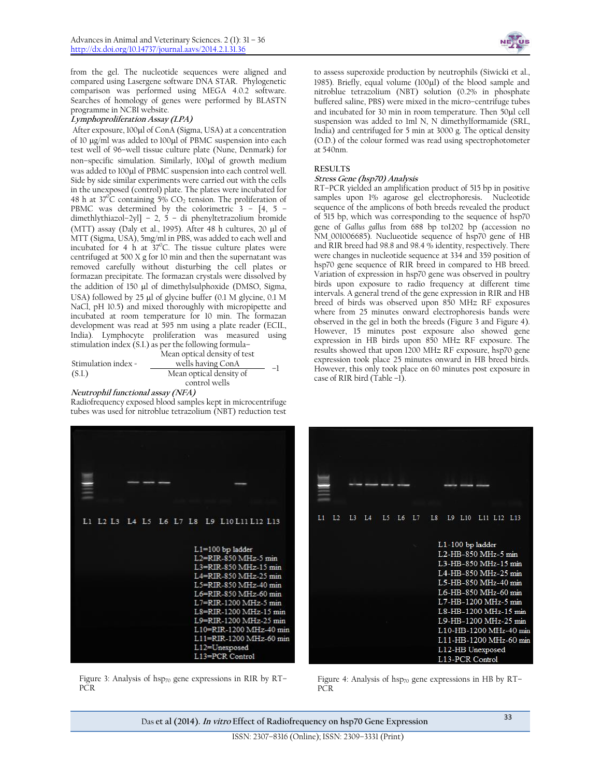from the gel. The nucleotide sequences were aligned and compared using Lasergene software DNA STAR. Phylogenetic comparison was performed using MEGA 4.0.2 software. Searches of homology of genes were performed by BLASTN programme in NCBI website.

#### **Lymphoproliferation Assay (LPA)**

After exposure, 100µl of ConA (Sigma, USA) at a concentration of 10 µg/ml was added to 100µl of PBMC suspension into each test well of 96–well tissue culture plate (Nune, Denmark) for non-specific simulation. Similarly, 100µl of growth medium was added to 100µl of PBMC suspension into each control well. Side by side similar experiments were carried out with the cells in the unexposed (control) plate. The plates were incubated for 48 h at  $37^{\circ}$ C containing 5% CO<sub>2</sub> tension. The proliferation of PBMC was determined by the colorimetric 3 – [4, 5 – dimethlythiazol–2yl] – 2, 5 – di phenyltetrazolium bromide (MTT) assay (Daly et al., 1995). After 48 h cultures, 20  $\mu$ l of MTT (Sigma, USA), 5mg/ml in PBS, was added to each well and incubated for 4 h at  $37^{\circ}$ C. The tissue culture plates were centrifuged at 500 X g for 10 min and then the supernatant was removed carefully without disturbing the cell plates or formazan precipitate. The formazan crystals were dissolved by the addition of 150  $\mu$ l of dimethylsulphoxide (DMSO, Sigma, USA) followed by  $25 \mu l$  of glycine buffer (0.1 M glycine, 0.1 M NaCl, pH 10.5) and mixed thoroughly with micropipette and incubated at room temperature for 10 min. The formazan development was read at 595 nm using a plate reader (ECIL, India). Lymphocyte proliferation was measured using stimulation index (S.I.) as per the following formula–

Stimulation index = (S.I.) Mean optical density of test wells having ConA – –<sup>1</sup> Mean optical density of control wells

**Neutrophil functional assay (NFA)** Radiofrequency exposed blood samples kept in microcentrifuge tubes was used for nitroblue tetrazolium (NBT) reduction test



Figure 3: Analysis of hsp $_{70}$  gene expressions in RIR by RT-PCR



to assess superoxide production by neutrophils (Siwicki et al., 1985). Briefly, equal volume  $(100\mu l)$  of the blood sample and nitroblue tetrazolium (NBT) solution (0.2% in phosphate buffered saline, PBS) were mixed in the micro–centrifuge tubes and incubated for 30 min in room temperature. Then 50µl cell suspension was added to 1ml N, N dimethylformamide (SRL, India) and centrifuged for 5 min at 3000 g. The optical density (O.D.) of the colour formed was read using spectrophotometer at 540nm.

# **RESULTS**

# **Stress Gene (hsp70) Analysis**

RT–PCR yielded an amplification product of 515 bp in positive samples upon 1% agarose gel electrophoresis**.** Nucleotide sequence of the amplicons of both breeds revealed the product of 515 bp, which was corresponding to the sequence of hsp70 gene of *Gallus gallus* from 688 bp to1202 bp (accession no NM\_001006685). Nuclueotide sequence of hsp70 gene of HB and RIR breed had 98.8 and 98.4 % identity, respectively. There were changes in nucleotide sequence at 334 and 359 position of hsp70 gene sequence of RIR breed in compared to HB breed. Variation of expression in hsp70 gene was observed in poultry birds upon exposure to radio frequency at different time intervals. A general trend of the gene expression in RIR and HB breed of birds was observed upon 850 MHz RF exposures where from 25 minutes onward electrophoresis bands were observed in the gel in both the breeds (Figure 3 and Figure 4). However, 15 minutes post exposure also showed gene expression in HB birds upon 850 MHz RF exposure. The results showed that upon 1200 MHz RF exposure, hsp70 gene expression took place 25 minutes onward in HB breed birds. However, this only took place on 60 minutes post exposure in case of RIR bird (Table –1).



Figure 4: Analysis of hsp70 gene expressions in HB by RT-PCR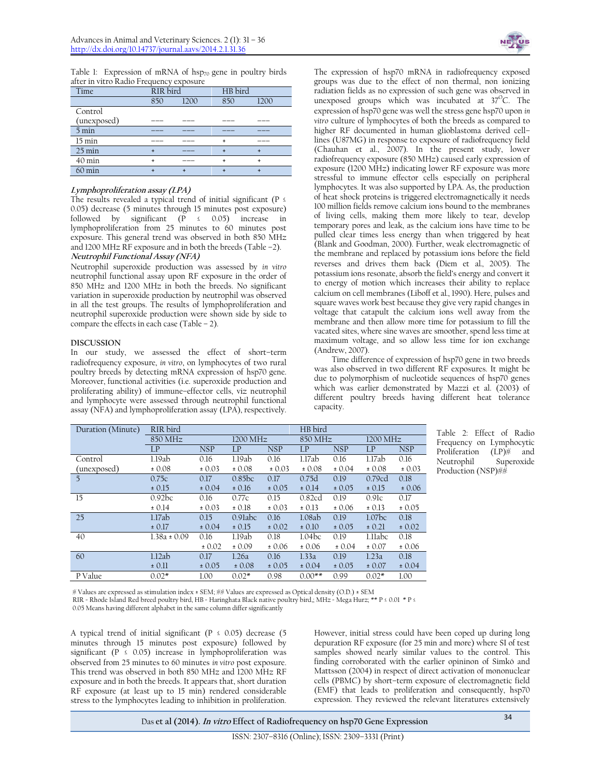Table 1: Expression of mRNA of  $hsp_{70}$  gene in poultry birds after in vitro Radio Frequency exposure

| Time             | RIR bird |                               | HB bird |       |  |
|------------------|----------|-------------------------------|---------|-------|--|
|                  | 850      | 1200                          | 850     | 1200  |  |
| Control          |          |                               |         |       |  |
| (unexposed)      |          |                               |         | _____ |  |
| $5 \text{ min}$  |          |                               |         |       |  |
| $15 \text{ min}$ |          | commercial commercial commer- |         |       |  |
| $25 \text{ min}$ |          | ____                          |         |       |  |
| $40 \text{ min}$ |          |                               |         |       |  |
| $60 \text{ min}$ |          |                               |         |       |  |

## **Lymphoproliferation assay (LPA)**

The results revealed a typical trend of initial significant ( $P \leq$ 0.05) decrease (5 minutes through 15 minutes post exposure) followed by significant ( $\tilde{P}$  ≤ 0.05) increase in lymphoproliferation from 25 minutes to 60 minutes post exposure. This general trend was observed in both 850 MHz and 1200 MHz RF exposure and in both the breeds (Table –2). **Neutrophil Functional Assay (NFA)**

Neutrophil superoxide production was assessed by *in vitro*  neutrophil functional assay upon RF exposure in the order of 850 MHz and 1200 MHz in both the breeds. No significant variation in superoxide production by neutrophil was observed in all the test groups. The results of lymphoproliferation and neutrophil superoxide production were shown side by side to compare the effects in each case (Table – 2).

#### **DISCUSSION**

In our study, we assessed the effect of short–term radiofrequency exposure, *in vitro*, on lymphocytes of two rural poultry breeds by detecting mRNA expression of hsp70 gene. Moreover, functional activities (i.e. superoxide production and proliferating ability) of immune–effector cells, viz neutrophil and lymphocyte were assessed through neutrophil functional assay (NFA) and lymphoproliferation assay (LPA), respectively.

The expression of hsp70 mRNA in radiofrequency exposed groups was due to the effect of non thermal, non ionizing radiation fields as no expression of such gene was observed in unexposed groups which was incubated at  $37^{\circ}$ C. The expression of hsp70 gene was well the stress gene hsp70 upon *in vitro* culture of lymphocytes of both the breeds as compared to higher RF documented in human glioblastoma derived cell– lines (U87MG) in response to exposure of radiofrequency field (Chauhan et al., 2007). In the present study, lower radiofrequency exposure (850 MHz) caused early expression of exposure (1200 MHz) indicating lower RF exposure was more stressful to immune effector cells especially on peripheral lymphocytes. It was also supported by LPA. As, the production of heat shock proteins is triggered electromagnetically it needs 100 million fields remove calcium ions bound to the membranes of living cells, making them more likely to tear, develop temporary pores and leak, as the calcium ions have time to be pulled clear times less energy than when triggered by heat (Blank and Goodman, 2000). Further, weak electromagnetic of the membrane and replaced by potassium ions before the field reverses and drives them back (Diem et al*.,* 2005). The potassium ions resonate, absorb the field's energy and convert it to energy of motion which increases their ability to replace calcium on cell membranes (Liboff et al*.*, 1990). Here, pulses and square waves work best because they give very rapid changes in voltage that catapult the calcium ions well away from the membrane and then allow more time for potassium to fill the vacated sites, where sine waves are smoother, spend less time at maximum voltage, and so allow less time for ion exchange (Andrew, 2007).

Time difference of expression of hsp70 gene in two breeds was also observed in two different RF exposures. It might be due to polymorphism of nucleotide sequences of hsp70 genes which was earlier demonstrated by Mazzi et al. (2003) of different poultry breeds having different heat tolerance capacity.

| Duration (Minute) | RIR bird         |            |            |            | HB bird  |            |                    |            |
|-------------------|------------------|------------|------------|------------|----------|------------|--------------------|------------|
|                   | 850 MHz          | 1200 MHz   |            | 850 MHz    |          | 1200 MHz   |                    |            |
|                   | LP               | <b>NSP</b> | LP         | <b>NSP</b> | LP       | <b>NSP</b> | LP                 | <b>NSP</b> |
| Control           | 1.19ab           | 0.16       | 1.19ab     | 0.16       | 1.17ab   | 0.16       | 1.17ab             | 0.16       |
| (unexposed)       | ± 0.08           | ± 0.03     | ± 0.08     | ± 0.03     | ± 0.08   | ± 0.04     | ± 0.08             | ± 0.03     |
| $\overline{5}$    | 0.75c            | 0.17       | 0.85bc     | 0.17       | 0.75d    | 0.19       | 0.79cd             | 0.18       |
|                   | ± 0.15           | ± 0.04     | ± 0.16     | ± 0.05     | ± 0.14   | ± 0.05     | ± 0.15             | ± 0.06     |
| 15                | 0.92bc           | 0.16       | 0.77c      | 0.15       | 0.82cd   | 0.19       | 0.91c              | 0.17       |
|                   | ± 0.14           | ± 0.03     | ± 0.18     | ± 0.03     | ± 0.13   | ± 0.06     | ± 0.13             | ± 0.05     |
| 25                | 1.17ab           | 0.15       | $0.9$ labc | 0.16       | 1.08ab   | 0.19       | 1.07 <sub>bc</sub> | 0.18       |
|                   | ± 0.17           | ± 0.04     | ± 0.15     | ± 0.02     | ± 0.10   | ± 0.05     | ± 0.21             | ± 0.02     |
| 40                | $1.38a \pm 0.09$ | 0.16       | 1.19ab     | 0.18       | 1.04bc   | 0.19       | 1.11abc            | 0.18       |
|                   |                  | ± 0.02     | ± 0.09     | ± 0.06     | ± 0.06   | ± 0.04     | ± 0.07             | ± 0.06     |
| 60                | 1.12ab           | 0.17       | 1.26a      | 0.16       | 1.33a    | 0.19       | 1.23a              | 0.18       |
|                   | ± 0.11           | ± 0.05     | ± 0.08     | ± 0.05     | ± 0.04   | ± 0.05     | ± 0.07             | ± 0.04     |
| P Value           | $0.02*$          | 1.00       | $0.02*$    | 0.98       | $0.00**$ | 0.99       | $0.02*$            | 1.00       |

Table 2: Effect of Radio Frequency on Lymphocytic Proliferation (LP)<sup>\*</sup> and Neutrophil Superoxide Production (NSP)##

# Values are expressed as stimulation index ± SEM; ## Values are expressed as Optical density (O.D.) ± SEM

RIR = Rhode Island Red breed poultry bird, HB = Haringhata Black native poultry bird,; MHz = Mega Hurz; \*\* P ≤ 0.01 \* P ≤

0.05 Means having different alphabet in the same column differ significantly

A typical trend of initial significant ( $P \le 0.05$ ) decrease (5) minutes through 15 minutes post exposure) followed by significant (P  $\leq$  0.05) increase in lymphoproliferation was observed from 25 minutes to 60 minutes *in vitro* post exposure. This trend was observed in both 850 MHz and 1200 MHz RF exposure and in both the breeds. It appears that, short duration RF exposure (at least up to 15 min) rendered considerable stress to the lymphocytes leading to inhibition in proliferation.

However, initial stress could have been coped up during long depuration RF exposure (for 25 min and more) where SI of test samples showed nearly similar values to the control. This finding corroborated with the earlier opininon of Simkó and Mattsson (2004) in respect of direct activation of mononuclear cells (PBMC) by short–term exposure of electromagnetic field (EMF) that leads to proliferation and consequently, hsp70 expression. They reviewed the relevant literatures extensively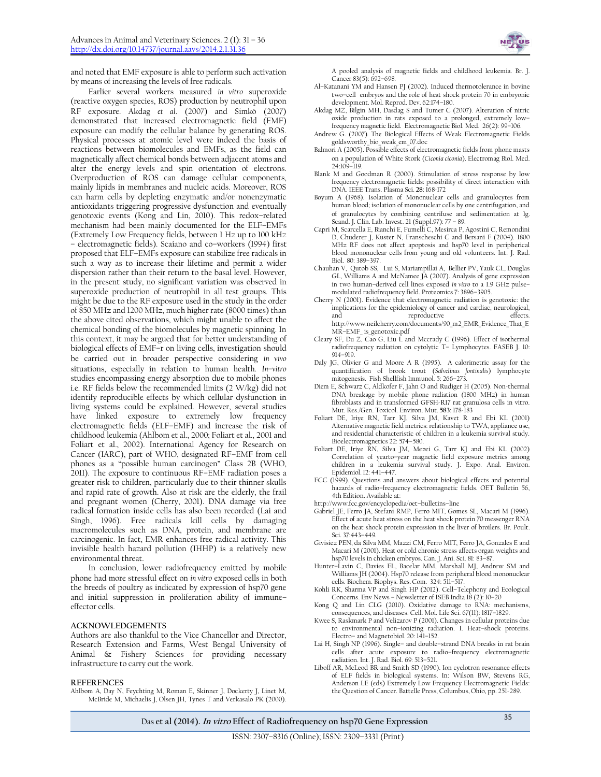and noted that EMF exposure is able to perform such activation by means of increasing the levels of free radicals.

Earlier several workers measured *in vitro* superoxide (reactive oxygen species, ROS) production by neutrophil upon RF exposure. Akdag *et al*. (2007) and Simkó (2007) demonstrated that increased electromagnetic field (EMF) exposure can modify the cellular balance by generating ROS. Physical processes at atomic level were indeed the basis of reactions between biomolecules and EMFs, as the field can magnetically affect chemical bonds between adjacent atoms and alter the energy levels and spin orientation of electrons. Overproduction of ROS can damage cellular components, mainly lipids in membranes and nucleic acids. Moreover, ROS can harm cells by depleting enzymatic and/or nonenzymatic antioxidants triggering progressive dysfunction and eventually genotoxic events (Kong and Lin, 2010). This redox–related mechanism had been mainly documented for the ELF–EMFs (Extremely Low Frequency fields, between 1 Hz up to 100 kHz – electromagnetic fields). Scaiano and co–workers (1994) first proposed that ELF–EMFs exposure can stabilize free radicals in such a way as to increase their lifetime and permit a wider dispersion rather than their return to the basal level. However, in the present study, no significant variation was observed in superoxide production of neutrophil in all test groups. This might be due to the RF exposure used in the study in the order of 850 MHz and 1200 MHz, much higher rate (8000 times) than the above cited observations, which might unable to affect the chemical bonding of the biomolecules by magnetic spinning. In this context, it may be argued that for better understanding of biological effects of EMF–r on living cells, investigation should be carried out in broader perspective considering *in vivo* situations, especially in relation to human health. *In–vitro* studies encompassing energy absorption due to mobile phones i.e. RF fields below the recommended limits (2 W/kg) did not identify reproducible effects by which cellular dysfunction in living systems could be explained. However, several studies have linked exposure to extremely low frequency electromagnetic fields (ELF–EMF) and increase the risk of childhood leukemia (Ahlbom et al., 2000; Foliart et al., 2001 and Foliart et al., 2002). International Agency for Research on Cancer (IARC), part of WHO, designated RF–EMF from cell phones as a "possible human carcinogen" Class 2B (WHO, 2011). The exposure to continuous RF–EMF radiation poses a greater risk to children, particularly due to their thinner skulls and rapid rate of growth. Also at risk are the elderly, the frail and pregnant women (Cherry, 2001). DNA damage via free radical formation inside cells has also been recorded (Lai and Singh, 1996). Free radicals kill cells by damaging macromolecules such as DNA, protein, and membrane are carcinogenic. In fact, EMR enhances free radical activity. This invisible health hazard pollution (IHHP) is a relatively new environmental threat.

In conclusion, lower radiofrequency emitted by mobile phone had more stressful effect on *in vitro* exposed cells in both the breeds of poultry as indicated by expression of hsp70 gene and initial suppression in proliferation ability of immune– effector cells.

#### **ACKNOWLEDGEMENTS**

Authors are also thankful to the Vice Chancellor and Director, Research Extension and Farms, West Bengal University of Animal & Fishery Sciences for providing necessary infrastructure to carry out the work.

#### **REFERENCES**

Ahlbom A, Day N, Feychting M, Roman E, Skinner J, Dockerty J, Linet M, McBride M, Michaelis J, Olsen JH, Tynes T and Verkasalo PK (2000).

A pooled analysis of magnetic fields and childhood leukemia. Br. J. Cancer 83(5): 692–698.

- Al–Katanani YM and Hansen PJ (2002). Induced thermotolerance in bovine two–cell embryos and the role of heat shock protein 70 in embryonic development. Mol. Reprod. Dev. 62:174–180.
- Akdag MZ, Bilgin MH, Dasdag S and Tumer C (2007). Alteration of nitric oxide production in rats exposed to a prolonged, extremely low– frequency magnetic field. Electromagnetic Biol. Med. 26(2): 99–106.
- Andrew G. (2007)*.* The Biological Effects of Weak Electromagnetic Fields goldsworthy\_bio\_weak\_em\_07.doc
- Balmori A (2005). Possible effects of electromagnetic fields from phone masts on a population of White Stork (*Ciconia ciconia*). Electromag Biol. Med. 24:109–119.
- Blank M and Goodman R (2000). Stimulation of stress response by low frequency electromagnetic fields: possibility of direct interaction with DNA. IEEE Trans. Plasma Sci. **28**: 168‐172
- Boyum A (1968). Isolation of Mononuclear cells and granulocytes from human blood; isolation of mononuclear cells by one centrifugation, and of granulocytes by combining centrifuse and sedimentation at 1g*.*  Scand. J. Clin. Lab. Invest. 21 (Suppl.97): 77 – 89.
- Capri M, Scarcella E, Bianchi E, Fumelli C, Mesirca P, Agostini C, Remondini D, Chuderer J, Kuster N, Franscheschi C and Bersani F (2004). 1800 MHz RF does not affect apoptosis and hsp70 level in peripherical blood mononuclear cells from young and old volunteers. Int. J. Rad. Biol. 80: 389–397.
- Chauhan V, Qutob SS, Lui S, Mariampillai A, Bellier PV, Yauk CL, Douglas GL, Williams A and McNamee JA (2007). Analysis of gene expression in two human–derived cell lines exposed *in vitro* to a 1.9 GHz pulse– modulated radiofrequency field. Proteomics 7: 3896–3905.
- Cherry N (2001). Evidence that electromagnetic radiation is genotoxic: the implications for the epidemiology of cancer and cardiac, neurological, and reproductive effects. http://www.neilcherry.com/documents/90\_m2\_EMR\_Evidence\_That\_E MR–EMF\_ is\_genotoxic.pdf
- Cleary SF, Du  $Z$ ,  $C$ ao G, Liu L and Mccrady C (1996). Effect of isothermal radiofrequency radiation on cytolytic T– Lymphocytes. FASEB J. 10: 914–919.
- Daly JG, Olivier G and Moore A R (1995). A calorimetric assay for the quantification of brook trout (*Salvelinus fontinalis*) lymphocyte mitogenesis. Fish Shellfish Immunol. 5: 266–273.
- Diem E, Schwarz C, Aldkofer F, Jahn O and Rudiger H (2005). Non‐thermal DNA breakage by mobile phone radiation (1800 MHz) in human fibroblasts and in transformed GFSH‐R17 rat granulosa cells in vitro. Mut. Res./Gen. Toxicol. Environ. Mut. **583**: 178‐183
- Foliart DE, Iriye RN, Tarr KJ, Silva JM, Kavet R and Ebi KL (2001) Alternative magnetic field metrics: relationship to TWA, appliance use, and residential characteristic of children in a leukemia survival study. Bioelectromagnetics 22: 574–580.
- Foliart DE, Iriye RN, Silva JM, Mezei G, Tarr KJ and Ebi KL (2002) Correlation of yearto–year magnetic field exposure metrics among children in a leukemia survival study. J. Expo. Anal. Environ. Epidemiol.12: 441–447.
- FCC (1999). Questions and answers about biological effects and potential hazards of radio–frequency electromagnetic fields. OET Bulletin 56, 4th Edition. Available at:
- http://www.fcc.gov/encyclopedia/oet–bulletins–line
- Gabriel JE, Ferro JA, Stefani RMP, Ferro MIT, Gomes SL, Macari M (1996). Effect of acute heat stress on the heat shock protein 70 messenger RNA on the heat shock protein expression in the liver of broilers. Br. Poult. Sci. 37:443–449.
- Givisiez PEN, da Silva MM, Mazzi CM, Ferro MIT, Ferro JA, Gonzales E and Macari M (2001). Heat or cold chronic stress affects organ weights and hsp70 levels in chicken embryos. Can. J. Ani. Sci. 81: 83–87.
- Hunter–Lavin C, Davies EL, Bacelar MM, Marshall MJ, Andrew SM and Williams JH (2004). Hsp70 release from peripheral blood mononuclear cells. Biochem. Biophys. Res.Com. 324: 511–517.
- Kohli RK, Sharma VP and Singh HP (2012). Cell–Telephony and Ecological Concerns. Env News – Newsletter of ISEB India 18 (2): 10–20
- Kong Q and Lin CLG (2010). Oxidative damage to RNA: mechanisms, consequences, and diseases. Cell. Mol. Life Sci. 67(11): 1817–1829.
- Kwee S, Raskmark P and Velizarov P (2001). Changes in cellular proteins due to environmental non–ionizing radiation. I. Heat–shock proteins. Electro– and Magnetobiol. 20: 141–152.
- Lai H, Singh NP (1996). Single– and double–strand DNA breaks in rat brain cells after acute exposure to radio–frequency electromagnetic radiation. Int. J. Rad. Biol. 69: 513–521.
- Liboff AR, McLeod BR and Smith SD (1990). Ion cyclotron resonance effects of ELF fields in biological systems. In: Wilson BW, Stevens RG, Anderson LE (eds) Extremely Low Frequency Electromagnetic Fields: the Question of Cancer. Battelle Press, Columbus, Ohio, pp. 251‐289.